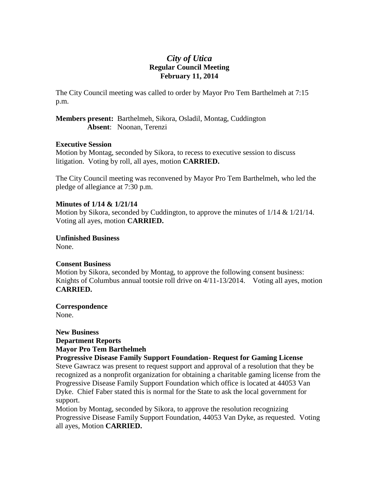# *City of Utica* **Regular Council Meeting February 11, 2014**

The City Council meeting was called to order by Mayor Pro Tem Barthelmeh at 7:15 p.m.

**Members present:** Barthelmeh, Sikora, Osladil, Montag, Cuddington **Absent**: Noonan, Terenzi

#### **Executive Session**

Motion by Montag, seconded by Sikora, to recess to executive session to discuss litigation. Voting by roll, all ayes, motion **CARRIED.**

The City Council meeting was reconvened by Mayor Pro Tem Barthelmeh, who led the pledge of allegiance at 7:30 p.m.

### **Minutes of 1/14 & 1/21/14**

Motion by Sikora, seconded by Cuddington, to approve the minutes of  $1/14 \& 1/21/14$ . Voting all ayes, motion **CARRIED.**

**Unfinished Business** None.

# **Consent Business**

Motion by Sikora, seconded by Montag, to approve the following consent business: Knights of Columbus annual tootsie roll drive on 4/11-13/2014. Voting all ayes, motion **CARRIED.**

**Correspondence**

None.

### **New Business Department Reports Mayor Pro Tem Barthelmeh**

#### **Progressive Disease Family Support Foundation- Request for Gaming License**

Steve Gawracz was present to request support and approval of a resolution that they be recognized as a nonprofit organization for obtaining a charitable gaming license from the Progressive Disease Family Support Foundation which office is located at 44053 Van Dyke. Chief Faber stated this is normal for the State to ask the local government for support.

Motion by Montag, seconded by Sikora, to approve the resolution recognizing Progressive Disease Family Support Foundation, 44053 Van Dyke, as requested. Voting all ayes, Motion **CARRIED.**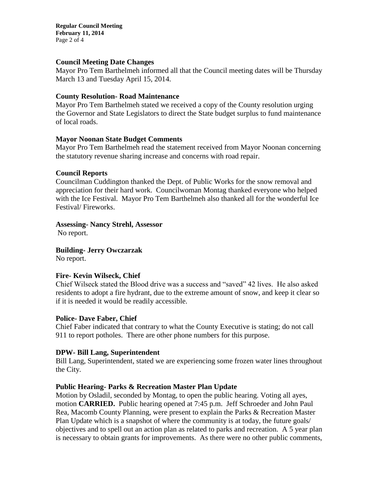**Regular Council Meeting February 11, 2014** Page 2 of 4

#### **Council Meeting Date Changes**

Mayor Pro Tem Barthelmeh informed all that the Council meeting dates will be Thursday March 13 and Tuesday April 15, 2014.

#### **County Resolution- Road Maintenance**

Mayor Pro Tem Barthelmeh stated we received a copy of the County resolution urging the Governor and State Legislators to direct the State budget surplus to fund maintenance of local roads.

#### **Mayor Noonan State Budget Comments**

Mayor Pro Tem Barthelmeh read the statement received from Mayor Noonan concerning the statutory revenue sharing increase and concerns with road repair.

#### **Council Reports**

Councilman Cuddington thanked the Dept. of Public Works for the snow removal and appreciation for their hard work. Councilwoman Montag thanked everyone who helped with the Ice Festival. Mayor Pro Tem Barthelmeh also thanked all for the wonderful Ice Festival/ Fireworks.

**Assessing- Nancy Strehl, Assessor**

No report.

**Building- Jerry Owczarzak**

No report.

#### **Fire- Kevin Wilseck, Chief**

Chief Wilseck stated the Blood drive was a success and "saved" 42 lives. He also asked residents to adopt a fire hydrant, due to the extreme amount of snow, and keep it clear so if it is needed it would be readily accessible.

#### **Police- Dave Faber, Chief**

Chief Faber indicated that contrary to what the County Executive is stating; do not call 911 to report potholes. There are other phone numbers for this purpose.

#### **DPW- Bill Lang, Superintendent**

Bill Lang, Superintendent, stated we are experiencing some frozen water lines throughout the City.

#### **Public Hearing- Parks & Recreation Master Plan Update**

Motion by Osladil, seconded by Montag, to open the public hearing. Voting all ayes, motion **CARRIED.** Public hearing opened at 7:45 p.m. Jeff Schroeder and John Paul Rea, Macomb County Planning, were present to explain the Parks & Recreation Master Plan Update which is a snapshot of where the community is at today, the future goals/ objectives and to spell out an action plan as related to parks and recreation. A 5 year plan is necessary to obtain grants for improvements. As there were no other public comments,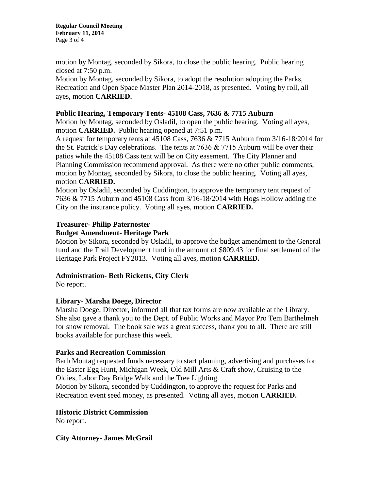**Regular Council Meeting February 11, 2014** Page 3 of 4

motion by Montag, seconded by Sikora, to close the public hearing. Public hearing closed at 7:50 p.m.

Motion by Montag, seconded by Sikora, to adopt the resolution adopting the Parks, Recreation and Open Space Master Plan 2014-2018, as presented. Voting by roll, all ayes, motion **CARRIED.**

### **Public Hearing, Temporary Tents- 45108 Cass, 7636 & 7715 Auburn**

Motion by Montag, seconded by Osladil, to open the public hearing. Voting all ayes, motion **CARRIED.** Public hearing opened at 7:51 p.m.

A request for temporary tents at 45108 Cass, 7636 & 7715 Auburn from 3/16-18/2014 for the St. Patrick's Day celebrations. The tents at  $7636 \& 7715$  Auburn will be over their patios while the 45108 Cass tent will be on City easement. The City Planner and Planning Commission recommend approval. As there were no other public comments, motion by Montag, seconded by Sikora, to close the public hearing. Voting all ayes, motion **CARRIED.** 

Motion by Osladil, seconded by Cuddington, to approve the temporary tent request of 7636 & 7715 Auburn and 45108 Cass from 3/16-18/2014 with Hogs Hollow adding the City on the insurance policy. Voting all ayes, motion **CARRIED.**

# **Treasurer- Philip Paternoster**

### **Budget Amendment- Heritage Park**

Motion by Sikora, seconded by Osladil, to approve the budget amendment to the General fund and the Trail Development fund in the amount of \$809.43 for final settlement of the Heritage Park Project FY2013. Voting all ayes, motion **CARRIED.**

# **Administration- Beth Ricketts, City Clerk**

No report.

# **Library- Marsha Doege, Director**

Marsha Doege, Director, informed all that tax forms are now available at the Library. She also gave a thank you to the Dept. of Public Works and Mayor Pro Tem Barthelmeh for snow removal. The book sale was a great success, thank you to all. There are still books available for purchase this week.

# **Parks and Recreation Commission**

Barb Montag requested funds necessary to start planning, advertising and purchases for the Easter Egg Hunt, Michigan Week, Old Mill Arts & Craft show, Cruising to the Oldies, Labor Day Bridge Walk and the Tree Lighting.

Motion by Sikora, seconded by Cuddington, to approve the request for Parks and Recreation event seed money, as presented. Voting all ayes, motion **CARRIED.**

# **Historic District Commission**

No report.

**City Attorney- James McGrail**